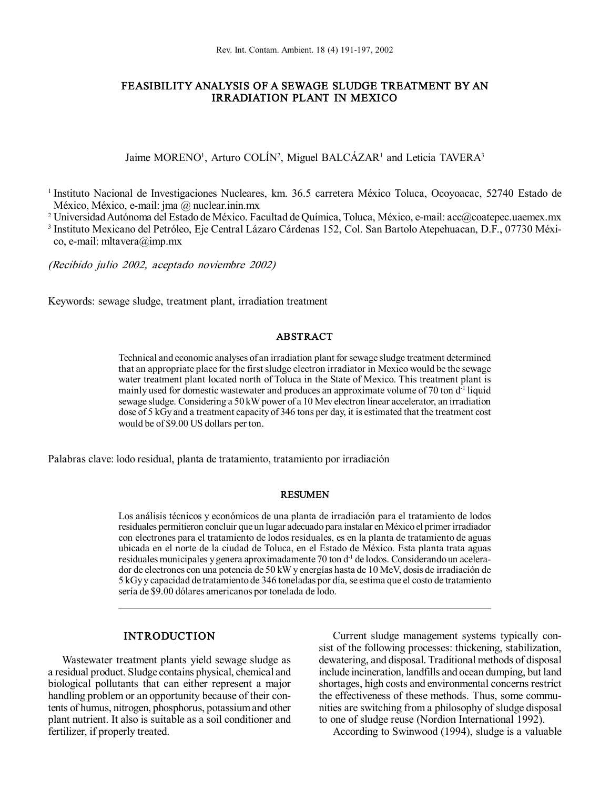# FEASIBILITY ANALYSIS OF A SEWAGE SLUDGE TREATMENT BY AN IRRADIATION PLANT IN MEXICO

Jaime MORENO<sup>1</sup>, Arturo COLÍN<sup>2</sup>, Miguel BALCÁZAR<sup>1</sup> and Leticia TAVERA<sup>3</sup>

<sup>1</sup> Instituto Nacional de Investigaciones Nucleares, km. 36.5 carretera México Toluca, Ocoyoacac, 52740 Estado de México, México, e-mail: jma @ nuclear.inin.mx

<sup>2</sup> UniversidadAutónoma del Estado de México. Facultad deQuímica, Toluca, México, email: acc@coatepec.uaemex.mx

<sup>3</sup> Instituto Mexicano del Petróleo, Eje Central Lázaro Cárdenas 152, Col. San Bartolo Atepehuacan, D.F., 07730 Méxi co, e-mail: mltavera@imp.mx

(Recibido julio 2002, aceptado noviembre 2002)

Keywords: sewage sludge, treatment plant, irradiation treatment

### ABSTRACT

Technical and economic analyses of an irradiation plant for sewage sludge treatment determined that an appropriate place for the first sludge electron irradiator in Mexico would be the sewage water treatment plant located north of Toluca in the State of Mexico. This treatment plant is mainly used for domestic wastewater and produces an approximate volume of 70 ton  $d<sup>-1</sup>$  liquid sewage sludge. Considering a 50 kW power of a 10 Mev electron linear accelerator, an irradiation dose of 5 kGy and a treatment capacityof 346 tons per day, it is estimated that the treatment cost would be of \$9.00 US dollars per ton.

Palabras clave: lodo residual, planta de tratamiento, tratamiento por irradiación

### RESUMEN

Los análisis técnicos y económicos de una planta de irradiación para el tratamiento de lodos residuales permitieron concluir que un lugar adecuado para instalar en México el primer irradiador con electrones para el tratamiento de lodos residuales, es en la planta de tratamiento de aguas ubicada en el norte de la ciudad de Toluca, en el Estado de México. Esta planta trata aguas residuales municipales y genera aproximadamente 70 ton d<sup>-1</sup> de lodos. Considerando un acelerador de electrones con una potencia de 50 kWy energías hasta de 10 MeV, dosis de irradiación de 5 kGyy capacidad de tratamiento de 346 toneladas por día, se estima que el costo de tratamiento sería de \$9.00 dólares americanos por tonelada de lodo.

## INTRODUCTION

Wastewater treatment plants yield sewage sludge as a residual product. Sludge contains physical, chemical and biological pollutants that can either represent a major handling problem or an opportunity because of their contents of humus, nitrogen, phosphorus, potassiumand other plant nutrient. It also is suitable as a soil conditioner and fertilizer, if properly treated.

Current sludge management systems typically con sist of the following processes: thickening, stabilization, dewatering, and disposal. Traditional methods of disposal include incineration, landfills and ocean dumping, but land shortages, high costs and environmental concerns restrict the effectiveness of these methods. Thus, some communities are switching from a philosophy of sludge disposal to one of sludge reuse (Nordion International 1992).

According to Swinwood (1994), sludge is a valuable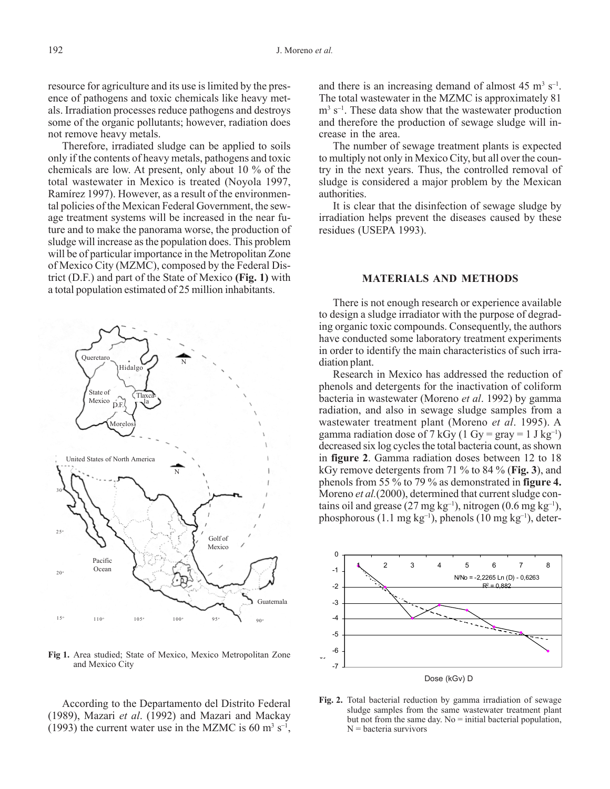resource for agriculture and its use is limited by the presence of pathogens and toxic chemicals like heavy metals. Irradiation processes reduce pathogens and destroys some of the organic pollutants; however, radiation does not remove heavy metals.

Therefore, irradiated sludge can be applied to soils only if the contents of heavy metals, pathogens and toxic chemicals are low. At present, only about 10 % of the total wastewater in Mexico is treated (Noyola 1997, Ramírez 1997). However, as a result of the environmental policies of the Mexican Federal Government, the sewage treatment systems will be increased in the near future and to make the panorama worse, the production of sludge will increase as the population does. This problem will be of particular importance in the Metropolitan Zone of Mexico City (MZMC), composed by the Federal District (D.F.) and part of the State of Mexico **(Fig. 1)** with a total population estimated of 25 million inhabitants.



**Fig 1.** Area studied; State of Mexico, Mexico Metropolitan Zone and Mexico City

According to the Departamento del Distrito Federal (1989), Mazari *et al*. (1992) and Mazari and Mackay  $(1993)$  the current water use in the MZMC is 60 m<sup>3</sup> s<sup>-1</sup>,

and there is an increasing demand of almost  $45 \text{ m}^3 \text{ s}^{-1}$ . The total wastewater in the MZMC is approximately 81  $m<sup>3</sup>$  s<sup>-1</sup>. These data show that the wastewater production and therefore the production of sewage sludge will increase in the area.

The number of sewage treatment plants is expected to multiply not only in Mexico City, but all over the country in the next years. Thus, the controlled removal of sludge is considered a major problem by the Mexican authorities.

It is clear that the disinfection of sewage sludge by irradiation helps prevent the diseases caused by these residues (USEPA 1993).

### **MATERIALS AND METHODS**

There is not enough research or experience available to design a sludge irradiator with the purpose of degrading organic toxic compounds. Consequently, the authors have conducted some laboratory treatment experiments in order to identify the main characteristics of such irradiation plant.

Research in Mexico has addressed the reduction of phenols and detergents for the inactivation of coliform bacteria in wastewater (Moreno *et al*. 1992) by gamma radiation, and also in sewage sludge samples from a wastewater treatment plant (Moreno *et al*. 1995). A gamma radiation dose of 7 kGy (1 Gy = gray = 1 J kg<sup>-1</sup>) decreased six log cycles the total bacteria count, as shown in **figure 2**. Gamma radiation doses between 12 to 18 kGy remove detergents from 71 % to 84 % (**Fig. 3**), and phenols from 55 % to 79 % as demonstrated in **figure 4.** Moreno *et al.*(2000), determined that current sludge contains oil and grease  $(27 \text{ mg kg}^{-1})$ , nitrogen  $(0.6 \text{ mg kg}^{-1})$ , phosphorous  $(1.1 \text{ mg kg}^{-1})$ , phenols  $(10 \text{ mg kg}^{-1})$ , deter-



**Fig. 2.** Total bacterial reduction by gamma irradiation of sewage sludge samples from the same wastewater treatment plant but not from the same day. No  $=$  initial bacterial population,  $N =$  bacteria survivors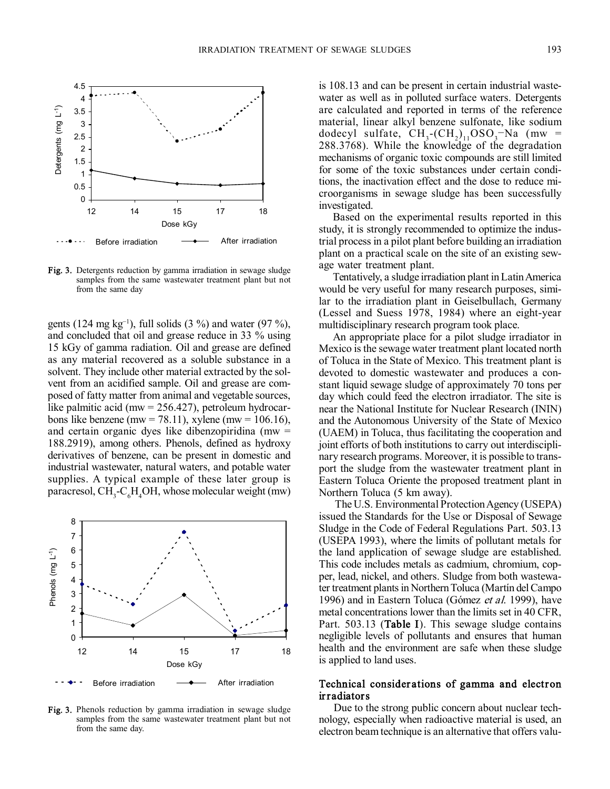

Fig. 3. Detergents reduction by gamma irradiation in sewage sludge samples from the same wastewater treatment plant but not from the same day

gents (124 mg  $kg^{-1}$ ), full solids (3 %) and water (97 %), and concluded that oil and grease reduce in 33 % using 15 kGy of gamma radiation. Oil and grease are defined as any material recovered as a soluble substance in a solvent. They include other material extracted by the sol vent from an acidified sample. Oil and grease are com posed of fatty matter from animal and vegetable sources, like palmitic acid (mw =  $256.427$ ), petroleum hydrocarbons like benzene (mw = 78.11), xylene (mw = 106.16), and certain organic dyes like dibenzopiridina (mw  $=$ 188.2919), among others. Phenols, defined as hydroxy derivatives of benzene, can be present in domestic and industrial wastewater, natural waters, and potable water supplies. A typical example of these later group is paracresol,  $CH<sub>3</sub>-C<sub>6</sub>H<sub>4</sub>OH$ , whose molecular weight (mw)



Fig. 3. Phenols reduction by gamma irradiation in sewage sludge samples from the same wastewater treatment plant but not from the same day.

is 108.13 and can be present in certain industrial waste water as well as in polluted surface waters. Detergents are calculated and reported in terms of the reference material, linear alkyl benzene sulfonate, like sodium material, inical analysis believed submate, the south dodecyl sulfate,  $CH_3$ - $(CH_2)_{11}OSO_3$ -Na (mw) = 288.3768). While the knowledge of the degradation mechanisms of organic toxic compounds are still limited for some of the toxic substances under certain conditions, the inactivation effect and the dose to reduce mi croorganisms in sewage sludge has been successfully investigated.

Based on the experimental results reported in this study, it is strongly recommended to optimize the indus trial process in a pilot plant before building an irradiation plant on a practical scale on the site of an existing sew age water treatment plant.

Tentatively, a sludge irradiation plant inLatinAmerica would be very useful for many research purposes, similar to the irradiation plant in Geiselbullach, Germany (Lessel and Suess 1978, 1984) where an eight-year multidisciplinary research program took place.

An appropriate place for a pilot sludge irradiator in Mexico is the sewage water treatment plant located north of Toluca in the State of Mexico. This treatment plant is devoted to domestic wastewater and produces a con stant liquid sewage sludge of approximately 70 tons per day which could feed the electron irradiator. The site is near the National Institute for Nuclear Research (ININ) and the Autonomous University of the State of Mexico (UAEM) in Toluca, thus facilitating the cooperation and joint efforts of both institutions to carry out interdiscipli nary research programs. Moreover, it is possible to trans port the sludge from the wastewater treatment plant in Eastern Toluca Oriente the proposed treatment plant in Northern Toluca (5 km away).

The U.S. Environmental Protection Agency (USEPA) issued the Standards for the Use or Disposal of Sewage Sludge in the Code of Federal Regulations Part. 503.13 (USEPA 1993), where the limits of pollutant metals for the land application of sewage sludge are established. This code includes metals as cadmium, chromium, copper, lead, nickel, and others. Sludge from both wastewater treatment plants in Northern Toluca (Martín del Campo 1996) and in Eastern Toluca (Gómez et al. 1999), have metal concentrations lower than the limits set in 40 CFR, Part. 503.13 (Table I). This sewage sludge contains negligible levels of pollutants and ensures that human health and the environment are safe when these sludge is applied to land uses.

## Technical consider ations of gamma and electron irradiators

Due to the strong public concern about nuclear tech nology, especially when radioactive material is used, an electron beam technique is an alternative that offers valu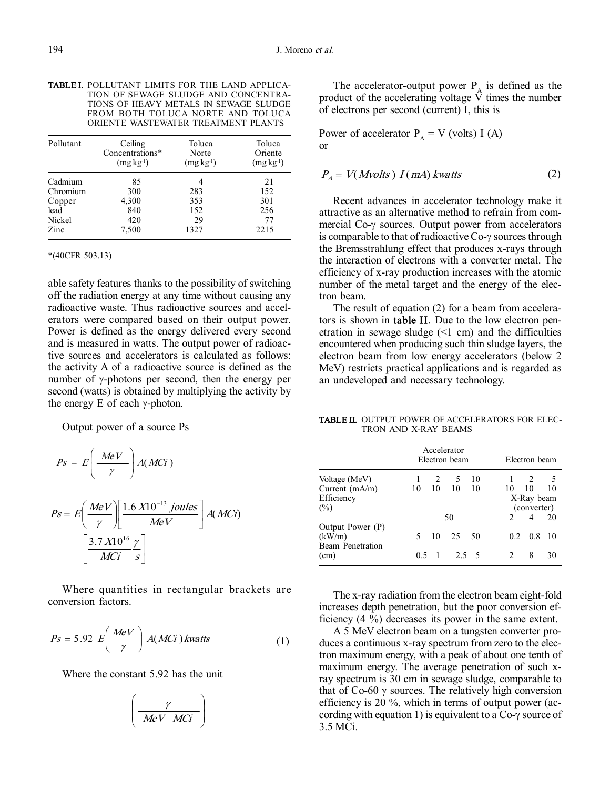TABLEI. POLLUTANT LIMITS FOR THE LAND APPLICA-TION OF SEWAGE SLUDGE AND CONCENTRA TIONS OF HEAVY METALS IN SEWAGE SLUDGE FROM BOTH TOLUCA NORTE AND TOLUCA ORIENTE WASTEWATER TREATMENT PLANTS

| Pollutant | Ceiling<br>Concentrations*<br>$(mg kg-1)$ | Toluca<br>Norte<br>$(mg kg-1)$ | Toluca<br>Oriente<br>$(mg kg-1)$ |
|-----------|-------------------------------------------|--------------------------------|----------------------------------|
| Cadmium   | 85                                        |                                | 21                               |
| Chromium  | 300                                       | 283                            | 152                              |
| Copper    | 4,300                                     | 353                            | 301                              |
| lead      | 840                                       | 152                            | 256                              |
| Nickel    | 420                                       | 29                             | 77                               |
| Zinc      | 7,500                                     | 1327                           | 2215                             |

#### \*(40CFR 503.13)

able safety features thanks to the possibility of switching off the radiation energy at any time without causing any radioactive waste. Thus radioactive sources and accel erators were compared based on their output power. Power is defined as the energy delivered every second and is measured in watts. The output power of radioactive sources and accelerators is calculated as follows: the activity A of a radioactive source is defined as the number of  $\gamma$ -photons per second, then the energy per second (watts) is obtained by multiplying the activity by the energy E of each  $\gamma$ -photon.

Output power of a source Ps

$$
Ps = E\left(\frac{MeV}{\gamma}\right)A(MCi)
$$

$$
Ps = E\left(\frac{MeV}{\gamma}\right) \left[\frac{1.6 \times 10^{-13} \text{ joules}}{MeV}\right] A(MCI)
$$

$$
\left[\frac{3.7 \times 10^{16} \text{ y}}{MCi \text{ s}}\right]
$$

Where quantities in rectangular brackets are conversion factors.

$$
Ps = 5.92 \ E\left(\frac{MeV}{\gamma}\right) A(MCi) \text{kwatts} \tag{1}
$$

Where the constant 5.92 has the unit

$$
\left(\frac{\gamma}{\text{MeV} \text{ MCi}}\right)
$$

The accelerator-output power  $P_A$  is defined as the product of the accelerating voltage  $\hat{V}$  times the number of electrons per second (current) I, this is

Power of accelerator  $P_A = V$  (volts) I (A) or

$$
P_A = V(Mvolts) I(mA) \,kwatts \tag{2}
$$

Recent advances in accelerator technology make it attractive as an alternative method to refrain from com mercial Co- $\gamma$  sources. Output power from accelerators is comparable to that of radioactive  $Co$ - $\gamma$  sources through the Bremsstrahlung effect that produces x-rays through the interaction of electrons with a converter metal. The efficiency of x-ray production increases with the atomic number of the metal target and the energy of the electron beam.

The result of equation (2) for a beam from accelerators is shown in table II. Due to the low electron pen etration in sewage sludge  $(\leq 1 \text{ cm})$  and the difficulties encountered when producing such thin sludge layers, the electron beam from low energy accelerators (below 2 MeV) restricts practical applications and is regarded as an undeveloped and necessary technology.

TABLE II. OUTPUT POWER OF ACCELERATORS FOR ELEC-TRON AND X-RAY BEAMS

| Accelerator<br>Electron beam<br>Electron beam |             |    |                |     |                               |     |    |
|-----------------------------------------------|-------------|----|----------------|-----|-------------------------------|-----|----|
| Voltage (MeV)                                 |             | 2  | 5 <sup>5</sup> | 10  |                               | 2   | 5  |
| Current $(mA/m)$                              | 10          | 10 | 10             | 10  | 10                            | 10  | 10 |
| Efficiency                                    |             |    |                |     | X-Ray beam                    |     |    |
| (%)                                           | (converter) |    |                |     |                               |     |    |
|                                               |             |    | 50             |     | $\mathcal{D}_{\mathcal{A}}$   | 4   | 20 |
| Output Power (P)                              |             |    |                |     |                               |     |    |
| (kW/m)                                        | 5.          | 10 | 25             | -50 | 02                            | 0.8 | 10 |
| Beam Penetration                              |             |    |                |     |                               |     |    |
| (cm)                                          | 0 5         |    | 25.5           |     | $\mathfrak{D}_{\mathfrak{p}}$ | 8   | 30 |

The x-ray radiation from the electron beam eight-fold increases depth penetration, but the poor conversion efficiency (4 %) decreases its power in the same extent.

A 5 MeV electron beam on a tungsten converter pro duces a continuous x-ray spectrum from zero to the electron maximum energy, with a peak of about one tenth of maximum energy. The average penetration of such xray spectrum is 30 cm in sewage sludge, comparable to that of  $Co-60 \gamma$  sources. The relatively high conversion efficiency is 20 %, which in terms of output power (ac cording with equation 1) is equivalent to a  $Co$ - $\gamma$  source of 3.5 MCi.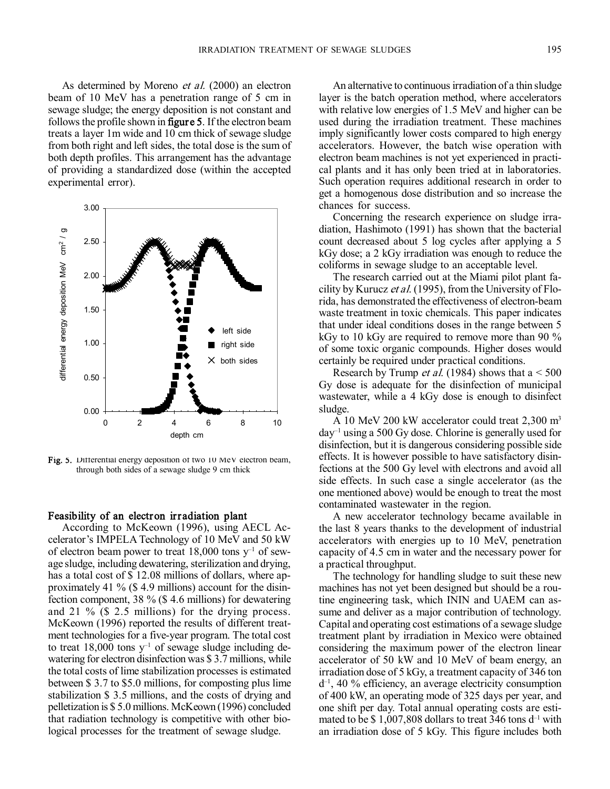As determined by Moreno *et al.* (2000) an electron beam of 10 MeV has a penetration range of 5 cm in sewage sludge; the energy deposition is not constant and follows the profile shown in figure 5. If the electron beam treats a layer 1m wide and 10 cm thick of sewage sludge from both right and left sides, the total dose is the sum of both depth profiles. This arrangement has the advantage of providing a standardized dose (within the accepted experimental error).



Fig. 5. Differential energy deposition of two 10 MeV electron beam, through both sides of a sewage sludge 9 cm thick

# Feasibility of an electron irradiation plant

According to McKeown (1996), using AECL Ac celerator's IMPELA Technology of 10 MeV and 50 kW of electron beam power to treat 18,000 tons  $y^{-1}$  of sewage sludge, including dewatering, sterilization and drying, has a total cost of \$12.08 millions of dollars, where approximately 41 % (\$ 4.9 millions) account for the disinfection component, 38 % (\$ 4.6 millions) for dewatering and 21 % (\$ 2.5 millions) for the drying process. McKeown (1996) reported the results of different treat ment technologies for a five-year program. The total cost to treat 18,000 tons  $y^{-1}$  of sewage sludge including dewatering for electron disinfection was \$ 3.7 millions, while the total costs of lime stabilization processes is estimated between \$ 3.7 to \$5.0 millions, for composting plus lime stabilization \$ 3.5 millions, and the costs of drying and pelletization is \$ 5.0 millions. McKeown (1996) concluded that radiation technology is competitive with other biological processes for the treatment of sewage sludge.

An alternative to continuous irradiation of a thin sludge layer is the batch operation method, where accelerators with relative low energies of 1.5 MeV and higher can be used during the irradiation treatment. These machines imply significantly lower costs compared to high energy accelerators. However, the batch wise operation with electron beam machines is not yet experienced in practi cal plants and it has only been tried at in laboratories. Such operation requires additional research in order to get a homogenous dose distribution and so increase the chances for success.

Concerning the research experience on sludge irra diation, Hashimoto (1991) has shown that the bacterial count decreased about 5 log cycles after applying a 5 kGy dose; a 2 kGy irradiation was enough to reduce the coliforms in sewage sludge to an acceptable level.

The research carried out at the Miami pilot plant fa cility by Kurucz et al. (1995), from the University of Florida, has demonstrated the effectiveness of electron-beam waste treatment in toxic chemicals. This paper indicates that under ideal conditions doses in the range between 5 kGy to 10 kGy are required to remove more than 90 % of some toxic organic compounds. Higher doses would certainly be required under practical conditions.

Research by Trump *et al.* (1984) shows that  $a < 500$ Gy dose is adequate for the disinfection of municipal wastewater, while a 4 kGy dose is enough to disinfect sludge.

A 10 MeV 200 kW accelerator could treat  $2,300 \text{ m}^3$  $day^{-1}$  using a 500 Gy dose. Chlorine is generally used for disinfection, but it is dangerous considering possible side effects. It is however possible to have satisfactory disinfections at the 500 Gy level with electrons and avoid all side effects. In such case a single accelerator (as the one mentioned above) would be enough to treat the most contaminated wastewater in the region.

A new accelerator technology became available in the last 8 years thanks to the development of industrial accelerators with energies up to 10 MeV, penetration capacity of 4.5 cm in water and the necessary power for a practical throughput.

The technology for handling sludge to suit these new machines has not yet been designed but should be a routine engineering task, which ININ and UAEM can as sume and deliver as a major contribution of technology. Capital and operating cost estimations of a sewage sludge treatment plant by irradiation in Mexico were obtained considering the maximum power of the electron linear accelerator of 50 kW and 10 MeV of beam energy, an irradiation dose of 5 kGy, a treatment capacity of 346 ton  $d^{-1}$ , 40 % efficiency, an average electricity consumption of 400 kW, an operating mode of 325 days per year, and one shift per day. Total annual operating costs are esti mated to be \$1,007,808 dollars to treat 346 tons  $d^{-1}$  with an irradiation dose of 5 kGy. This figure includes both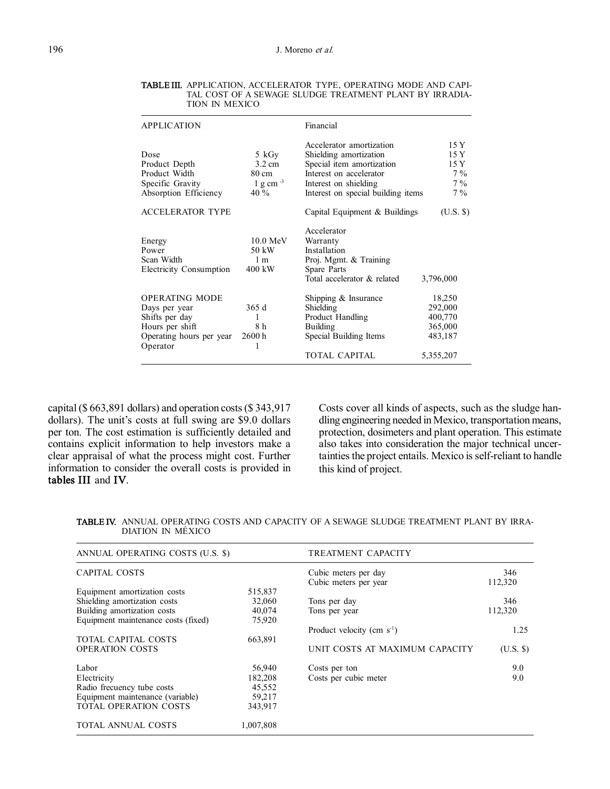| <b>APPLICATION</b>                                                                                                  |                                                            | Financial                                                                                                                                                                 |                                                                 |
|---------------------------------------------------------------------------------------------------------------------|------------------------------------------------------------|---------------------------------------------------------------------------------------------------------------------------------------------------------------------------|-----------------------------------------------------------------|
| Dose<br>Product Depth<br>Product Width<br>Specific Gravity<br>Absorption Efficiency                                 | 5 kGy<br>$3.2 \text{ cm}$<br>80 cm<br>$1 g cm^{-3}$<br>40% | Accelerator amortization<br>Shielding amortization<br>Special item amortization<br>Interest on accelerator<br>Interest on shielding<br>Interest on special building items | 15 Y<br>15 Y<br>15 Y<br>$7\%$<br>$7\%$<br>$7\%$                 |
| <b>ACCELERATOR TYPE</b>                                                                                             |                                                            | Capital Equipment & Buildings                                                                                                                                             | (U.S. \$)                                                       |
| Energy<br>Power<br>Scan Width<br><b>Electricity Consumption</b>                                                     | $10.0 \text{ MeV}$<br>50 kW<br>1 <sub>m</sub><br>400 kW    | Accelerator<br>Warranty<br>Installation<br>Proj. Mgmt. & Training<br>Spare Parts<br>Total accelerator & related                                                           | 3,796,000                                                       |
| <b>OPERATING MODE</b><br>Days per year<br>Shifts per day<br>Hours per shift<br>Operating hours per year<br>Operator | 365d<br>1<br>8 h<br>2600 h                                 | Shipping $&$ Insurance<br>Shielding<br>Product Handling<br>Building<br>Special Building Items<br>TOTAL CAPITAL                                                            | 18,250<br>292,000<br>400,770<br>365,000<br>483,187<br>5,355,207 |

TABLE III. APPLICATION, ACCELERATOR TYPE, OPERATING MODE AND CAPI TAL COST OF A SEWAGE SLUDGE TREATMENT PLANT BY IRRADIA TION IN MEXICO

capital(\$ 663,891 dollars) and operation costs(\$ 343,917 dollars). The unit's costs at full swing are \$9.0 dollars per ton. The cost estimation is sufficiently detailed and contains explicit information to help investors make a clear appraisal of what the process might cost. Further information to consider the overall costs is provided in tables III and IV.

Costs cover all kinds of aspects, such as the sludge han dling engineering needed in Mexico, transportation means, protection, dosimeters and plant operation. This estimate also takes into consideration the major technical uncertainties the project entails. Mexico is self-reliant to handle this kind of project.

| <b>TABLE IV.</b> ANNUAL OPERATING COSTS AND CAPACITY OF A SEWAGE SLUDGE TREATMENT PLANT BY IRRA- |  |
|--------------------------------------------------------------------------------------------------|--|
| DIATION IN MEXICO                                                                                |  |

| ANNUAL OPERATING COSTS (U.S. \$)    |           | TREATMENT CAPACITY              |             |  |
|-------------------------------------|-----------|---------------------------------|-------------|--|
| <b>CAPITAL COSTS</b>                |           | Cubic meters per day            | 346         |  |
|                                     |           | Cubic meters per year           | 112,320     |  |
| Equipment amortization costs        | 515,837   |                                 |             |  |
| Shielding amortization costs        | 32,060    | Tons per day                    | 346         |  |
| Building amortization costs         | 40,074    | Tons per year                   | 112,320     |  |
| Equipment maintenance costs (fixed) | 75,920    |                                 |             |  |
|                                     |           | Product velocity (cm $s^{-1}$ ) | 1.25        |  |
| TOTAL CAPITAL COSTS                 | 663,891   |                                 |             |  |
| <b>OPERATION COSTS</b>              |           | UNIT COSTS AT MAXIMUM CAPACITY  | $(U.S.$ \$) |  |
| Labor                               | 56,940    | Costs per ton                   | 9.0         |  |
| Electricity                         | 182,208   | Costs per cubic meter           | 9.0         |  |
| Radio frecuency tube costs          | 45,552    |                                 |             |  |
| Equipment maintenance (variable)    | 59,217    |                                 |             |  |
| <b>TOTAL OPERATION COSTS</b>        | 343,917   |                                 |             |  |
| TOTAL ANNUAL COSTS                  | 1,007,808 |                                 |             |  |